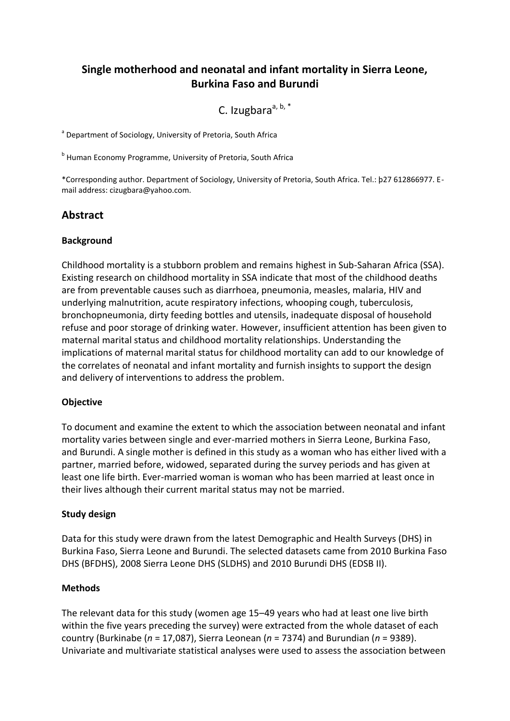# **Single motherhood and neonatal and infant mortality in Sierra Leone, Burkina Faso and Burundi**

C. Izugbara $a, b, a$ 

<sup>a</sup> Department of Sociology, University of Pretoria, South Africa

**b** Human Economy Programme, University of Pretoria, South Africa

\*Corresponding author. Department of Sociology, University of Pretoria, South Africa. Tel.: þ27 612866977. Email address: cizugbara@yahoo.com.

# **Abstract**

### **Background**

Childhood mortality is a stubborn problem and remains highest in Sub-Saharan Africa (SSA). Existing research on childhood mortality in SSA indicate that most of the childhood deaths are from preventable causes such as diarrhoea, pneumonia, measles, malaria, HIV and underlying malnutrition, acute respiratory infections, whooping cough, tuberculosis, bronchopneumonia, dirty feeding bottles and utensils, inadequate disposal of household refuse and poor storage of drinking water. However, insufficient attention has been given to maternal marital status and childhood mortality relationships. Understanding the implications of maternal marital status for childhood mortality can add to our knowledge of the correlates of neonatal and infant mortality and furnish insights to support the design and delivery of interventions to address the problem.

### **Objective**

To document and examine the extent to which the association between neonatal and infant mortality varies between single and ever-married mothers in Sierra Leone, Burkina Faso, and Burundi. A single mother is defined in this study as a woman who has either lived with a partner, married before, widowed, separated during the survey periods and has given at least one life birth. Ever-married woman is woman who has been married at least once in their lives although their current marital status may not be married.

#### **Study design**

Data for this study were drawn from the latest Demographic and Health Surveys (DHS) in Burkina Faso, Sierra Leone and Burundi. The selected datasets came from 2010 Burkina Faso DHS (BFDHS), 2008 Sierra Leone DHS (SLDHS) and 2010 Burundi DHS (EDSB II).

### **Methods**

The relevant data for this study (women age 15–49 years who had at least one live birth within the five years preceding the survey) were extracted from the whole dataset of each country (Burkinabe (*n* = 17,087), Sierra Leonean (*n* = 7374) and Burundian (*n* = 9389). Univariate and multivariate statistical analyses were used to assess the association between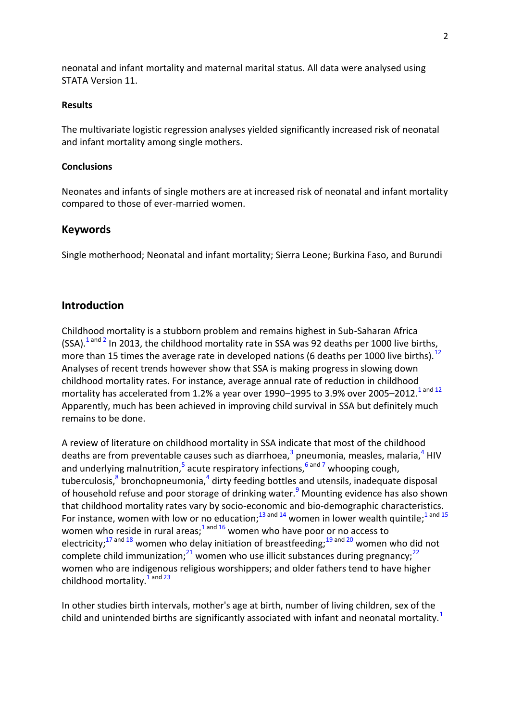neonatal and infant mortality and maternal marital status. All data were analysed using STATA Version 11.

#### **Results**

The multivariate logistic regression analyses yielded significantly increased risk of neonatal and infant mortality among single mothers.

#### **Conclusions**

Neonates and infants of single mothers are at increased risk of neonatal and infant mortality compared to those of ever-married women.

#### **Keywords**

Single motherhood; Neonatal and infant mortality; Sierra Leone; Burkina Faso, and Burundi

### **Introduction**

Childhood mortality is a stubborn problem and remains highest in Sub-Saharan Africa  $(SSA).$ <sup>1 and 2</sup> In 2013, the childhood mortality rate in SSA was 92 deaths per 1000 live births, more than 15 times the average rate in developed nations (6 deaths per 1000 live births).<sup>12</sup> Analyses of recent trends however show that SSA is making progress in slowing down childhood mortality rates. For instance, average annual rate of reduction in childhood mortality has accelerated from 1.2% a year over 1990–1995 to 3.9% over 2005–2012.<sup>1 and 12</sup> Apparently, much has been achieved in improving child survival in SSA but definitely much remains to be done.

A review of literature on childhood mortality in SSA indicate that most of the childhood deaths are from preventable causes such as diarrhoea,<sup>3</sup> pneumonia, measles, malaria,<sup>4</sup> HIV and underlying malnutrition,<sup>5</sup> acute respiratory infections,<sup>6 and 7</sup> whooping cough, tuberculosis,<sup>8</sup> bronchopneumonia,<sup>4</sup> dirty feeding bottles and utensils, inadequate disposal of household refuse and poor storage of drinking water.<sup>9</sup> Mounting evidence has also shown that childhood mortality rates vary by socio-economic and bio-demographic characteristics. For instance, women with low or no education;<sup>13 and 14</sup> women in lower wealth quintile;<sup>1 and 15</sup> women who reside in rural areas;<sup>1 and 16</sup> women who have poor or no access to electricity;<sup>17 and 18</sup> women who delay initiation of breastfeeding;<sup>19 and 20</sup> women who did not complete child immunization;<sup>21</sup> women who use illicit substances during pregnancy;<sup>22</sup> women who are indigenous religious worshippers; and older fathers tend to have higher childhood mortality.<sup>1 and 23</sup>

In other studies birth intervals, mother's age at birth, number of living children, sex of the child and unintended births are significantly associated with infant and neonatal mortality.<sup>1</sup>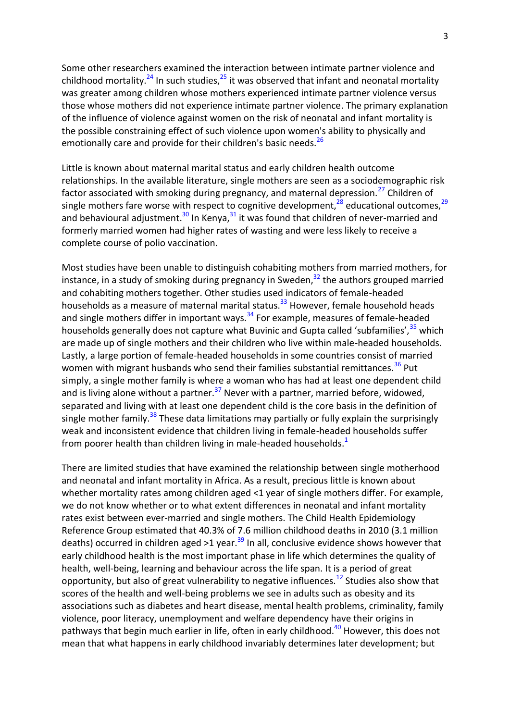Some other researchers examined the interaction between intimate partner violence and childhood mortality.<sup>24</sup> In such studies, $^{25}$  it was observed that infant and neonatal mortality was greater among children whose mothers experienced intimate partner violence versus those whose mothers did not experience intimate partner violence. The primary explanation of the influence of violence against women on the risk of neonatal and infant mortality is the possible constraining effect of such violence upon women's ability to physically and emotionally care and provide for their children's basic needs.<sup>26</sup>

Little is known about maternal marital status and early children health outcome relationships. In the available literature, single mothers are seen as a sociodemographic risk factor associated with smoking during pregnancy, and maternal depression.<sup>27</sup> Children of single mothers fare worse with respect to cognitive development,  $28$  educational outcomes,  $29$ and behavioural adjustment.<sup>30</sup> In Kenya,  $31$  it was found that children of never-married and formerly married women had higher rates of wasting and were less likely to receive a complete course of polio vaccination.

Most studies have been unable to distinguish cohabiting mothers from married mothers, for instance, in a study of smoking during pregnancy in Sweden, $32$  the authors grouped married and cohabiting mothers together. Other studies used indicators of female-headed households as a measure of maternal marital status.<sup>33</sup> However, female household heads and single mothers differ in important ways. $34$  For example, measures of female-headed households generally does not capture what Buvinic and Gupta called 'subfamilies',  $35$  which are made up of single mothers and their children who live within male-headed households. Lastly, a large portion of female-headed households in some countries consist of married women with migrant husbands who send their families substantial remittances.<sup>36</sup> Put simply, a single mother family is where a woman who has had at least one dependent child and is living alone without a partner.<sup>37</sup> Never with a partner, married before, widowed, separated and living with at least one dependent child is the core basis in the definition of single mother family.<sup>38</sup> These data limitations may partially or fully explain the surprisingly weak and inconsistent evidence that children living in female-headed households suffer from poorer health than children living in male-headed households. $<sup>1</sup>$ </sup>

There are limited studies that have examined the relationship between single motherhood and neonatal and infant mortality in Africa. As a result, precious little is known about whether mortality rates among children aged <1 year of single mothers differ. For example, we do not know whether or to what extent differences in neonatal and infant mortality rates exist between ever-married and single mothers. The Child Health Epidemiology Reference Group estimated that 40.3% of 7.6 million childhood deaths in 2010 (3.1 million deaths) occurred in children aged >1 year.<sup>39</sup> In all, conclusive evidence shows however that early childhood health is the most important phase in life which determines the quality of health, well-being, learning and behaviour across the life span. It is a period of great opportunity, but also of great vulnerability to negative influences.<sup>12</sup> Studies also show that scores of the health and well-being problems we see in adults such as obesity and its associations such as diabetes and heart disease, mental health problems, criminality, family violence, poor literacy, unemployment and welfare dependency have their origins in pathways that begin much earlier in life, often in early childhood.<sup>40</sup> However, this does not mean that what happens in early childhood invariably determines later development; but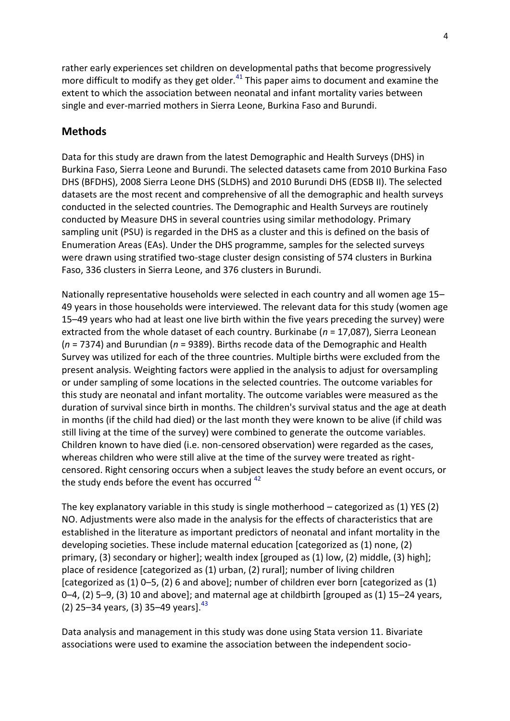rather early experiences set children on developmental paths that become progressively more difficult to modify as they get older. $41$  This paper aims to document and examine the extent to which the association between neonatal and infant mortality varies between single and ever-married mothers in Sierra Leone, Burkina Faso and Burundi.

### **Methods**

Data for this study are drawn from the latest Demographic and Health Surveys (DHS) in Burkina Faso, Sierra Leone and Burundi. The selected datasets came from 2010 Burkina Faso DHS (BFDHS), 2008 Sierra Leone DHS (SLDHS) and 2010 Burundi DHS (EDSB II). The selected datasets are the most recent and comprehensive of all the demographic and health surveys conducted in the selected countries. The Demographic and Health Surveys are routinely conducted by Measure DHS in several countries using similar methodology. Primary sampling unit (PSU) is regarded in the DHS as a cluster and this is defined on the basis of Enumeration Areas (EAs). Under the DHS programme, samples for the selected surveys were drawn using stratified two-stage cluster design consisting of 574 clusters in Burkina Faso, 336 clusters in Sierra Leone, and 376 clusters in Burundi.

Nationally representative households were selected in each country and all women age 15– 49 years in those households were interviewed. The relevant data for this study (women age 15–49 years who had at least one live birth within the five years preceding the survey) were extracted from the whole dataset of each country. Burkinabe (*n* = 17,087), Sierra Leonean (*n* = 7374) and Burundian (*n* = 9389). Births recode data of the Demographic and Health Survey was utilized for each of the three countries. Multiple births were excluded from the present analysis. Weighting factors were applied in the analysis to adjust for oversampling or under sampling of some locations in the selected countries. The outcome variables for this study are neonatal and infant mortality. The outcome variables were measured as the duration of survival since birth in months. The children's survival status and the age at death in months (if the child had died) or the last month they were known to be alive (if child was still living at the time of the survey) were combined to generate the outcome variables. Children known to have died (i.e. non-censored observation) were regarded as the cases, whereas children who were still alive at the time of the survey were treated as rightcensored. Right censoring occurs when a subject leaves the study before an event occurs, or the study ends before the event has occurred <sup>42</sup>

The key explanatory variable in this study is single motherhood – categorized as (1) YES (2) NO. Adjustments were also made in the analysis for the effects of characteristics that are established in the literature as important predictors of neonatal and infant mortality in the developing societies. These include maternal education [categorized as (1) none, (2) primary, (3) secondary or higher]; wealth index [grouped as (1) low, (2) middle, (3) high]; place of residence [categorized as (1) urban, (2) rural]; number of living children [categorized as (1) 0–5, (2) 6 and above]; number of children ever born [categorized as (1) 0–4, (2) 5–9, (3) 10 and above]; and maternal age at childbirth [grouped as (1) 15–24 years, (2) 25–34 years, (3) 35–49 years].  $43$ 

Data analysis and management in this study was done using Stata version 11. Bivariate associations were used to examine the association between the independent socio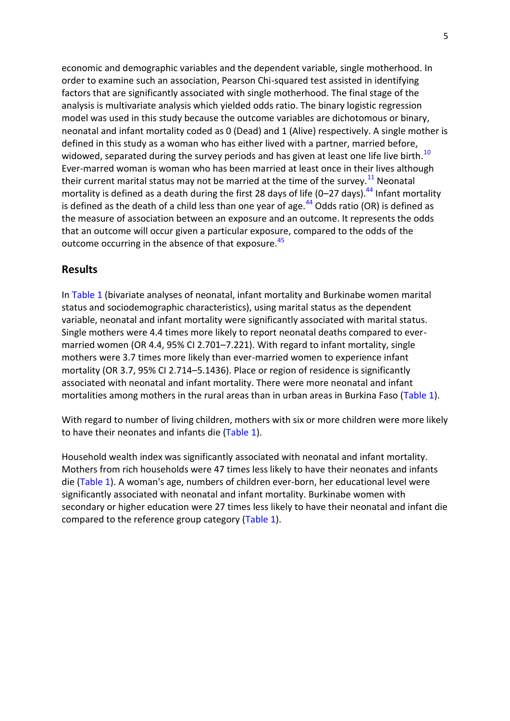economic and demographic variables and the dependent variable, single motherhood. In order to examine such an association, Pearson Chi-squared test assisted in identifying factors that are significantly associated with single motherhood. The final stage of the analysis is multivariate analysis which yielded odds ratio. The binary logistic regression model was used in this study because the outcome variables are dichotomous or binary, neonatal and infant mortality coded as 0 (Dead) and 1 (Alive) respectively. A single mother is defined in this study as a woman who has either lived with a partner, married before, widowed, separated during the survey periods and has given at least one life live birth.<sup>10</sup> Ever-marred woman is woman who has been married at least once in their lives although their current marital status may not be married at the time of the survey.<sup>11</sup> Neonatal mortality is defined as a death during the first 28 days of life (0–27 days).<sup>44</sup> Infant mortality is defined as the death of a child less than one year of age. $^{44}$  Odds ratio (OR) is defined as the measure of association between an exposure and an outcome. It represents the odds that an outcome will occur given a particular exposure, compared to the odds of the outcome occurring in the absence of that exposure.<sup>45</sup>

# **Results**

In Table 1 (bivariate analyses of neonatal, infant mortality and Burkinabe women marital status and sociodemographic characteristics), using marital status as the dependent variable, neonatal and infant mortality were significantly associated with marital status. Single mothers were 4.4 times more likely to report neonatal deaths compared to evermarried women (OR 4.4, 95% CI 2.701–7.221). With regard to infant mortality, single mothers were 3.7 times more likely than ever-married women to experience infant mortality (OR 3.7, 95% CI 2.714–5.1436). Place or region of residence is significantly associated with neonatal and infant mortality. There were more neonatal and infant mortalities among mothers in the rural areas than in urban areas in Burkina Faso (Table 1).

With regard to number of living children, mothers with six or more children were more likely to have their neonates and infants die (Table 1).

Household wealth index was significantly associated with neonatal and infant mortality. Mothers from rich households were 47 times less likely to have their neonates and infants die (Table 1). A woman's age, numbers of children ever-born, her educational level were significantly associated with neonatal and infant mortality. Burkinabe women with secondary or higher education were 27 times less likely to have their neonatal and infant die compared to the reference group category (Table 1).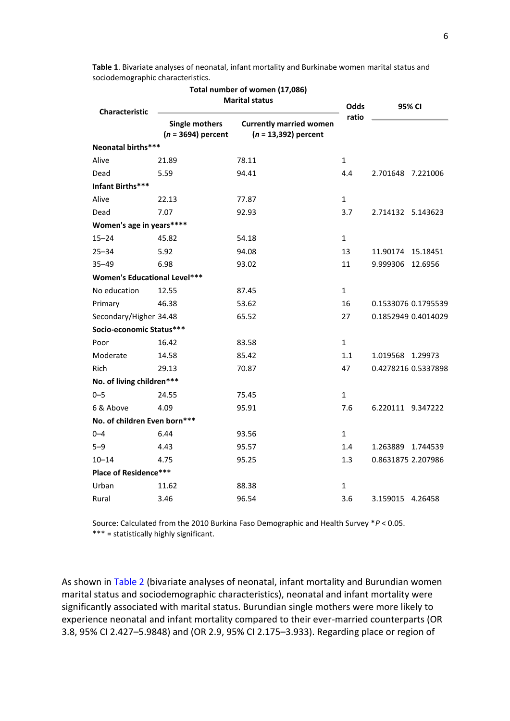**Table 1**. Bivariate analyses of neonatal, infant mortality and Burkinabe women marital status and sociodemographic characteristics.

|                                     | Total number of women (17,086)<br><b>Marital status</b><br><b>Odds</b> |                                                           |              | 95% CI             |                     |
|-------------------------------------|------------------------------------------------------------------------|-----------------------------------------------------------|--------------|--------------------|---------------------|
| Characteristic                      | <b>Single mothers</b><br>$(n = 3694)$ percent                          | <b>Currently married women</b><br>$(n = 13, 392)$ percent | ratio        |                    |                     |
| Neonatal births***                  |                                                                        |                                                           |              |                    |                     |
| Alive                               | 21.89                                                                  | 78.11                                                     | $\mathbf{1}$ |                    |                     |
| Dead                                | 5.59                                                                   | 94.41                                                     | 4.4          | 2.701648 7.221006  |                     |
| Infant Births***                    |                                                                        |                                                           |              |                    |                     |
| Alive                               | 22.13                                                                  | 77.87                                                     | $\mathbf{1}$ |                    |                     |
| Dead                                | 7.07                                                                   | 92.93                                                     | 3.7          | 2.714132 5.143623  |                     |
| Women's age in years****            |                                                                        |                                                           |              |                    |                     |
| $15 - 24$                           | 45.82                                                                  | 54.18                                                     | $\mathbf{1}$ |                    |                     |
| $25 - 34$                           | 5.92                                                                   | 94.08                                                     | 13           | 11.90174 15.18451  |                     |
| $35 - 49$                           | 6.98                                                                   | 93.02                                                     | 11           | 9.999306           | 12.6956             |
| <b>Women's Educational Level***</b> |                                                                        |                                                           |              |                    |                     |
| No education                        | 12.55                                                                  | 87.45                                                     | $\mathbf{1}$ |                    |                     |
| Primary                             | 46.38                                                                  | 53.62                                                     | 16           |                    | 0.1533076 0.1795539 |
| Secondary/Higher 34.48              |                                                                        | 65.52                                                     | 27           |                    | 0.1852949 0.4014029 |
| Socio-economic Status***            |                                                                        |                                                           |              |                    |                     |
| Poor                                | 16.42                                                                  | 83.58                                                     | $\mathbf{1}$ |                    |                     |
| Moderate                            | 14.58                                                                  | 85.42                                                     | 1.1          | 1.019568 1.29973   |                     |
| Rich                                | 29.13                                                                  | 70.87                                                     | 47           |                    | 0.4278216 0.5337898 |
| No. of living children***           |                                                                        |                                                           |              |                    |                     |
| $0 - 5$                             | 24.55                                                                  | 75.45                                                     | $\mathbf{1}$ |                    |                     |
| 6 & Above                           | 4.09                                                                   | 95.91                                                     | 7.6          | 6.220111 9.347222  |                     |
| No. of children Even born***        |                                                                        |                                                           |              |                    |                     |
| $0 - 4$                             | 6.44                                                                   | 93.56                                                     | $\mathbf{1}$ |                    |                     |
| $5 - 9$                             | 4.43                                                                   | 95.57                                                     | 1.4          | 1.263889 1.744539  |                     |
| $10 - 14$                           | 4.75                                                                   | 95.25                                                     | 1.3          | 0.8631875 2.207986 |                     |
| Place of Residence***               |                                                                        |                                                           |              |                    |                     |
| Urban                               | 11.62                                                                  | 88.38                                                     | $\mathbf{1}$ |                    |                     |
| Rural                               | 3.46                                                                   | 96.54                                                     | 3.6          | 3.159015 4.26458   |                     |
|                                     |                                                                        |                                                           |              |                    |                     |

Source: Calculated from the 2010 Burkina Faso Demographic and Health Survey \**P* < 0.05. \*\*\* = statistically highly significant.

As shown in Table 2 (bivariate analyses of neonatal, infant mortality and Burundian women marital status and sociodemographic characteristics), neonatal and infant mortality were significantly associated with marital status. Burundian single mothers were more likely to experience neonatal and infant mortality compared to their ever-married counterparts (OR 3.8, 95% CI 2.427–5.9848) and (OR 2.9, 95% CI 2.175–3.933). Regarding place or region of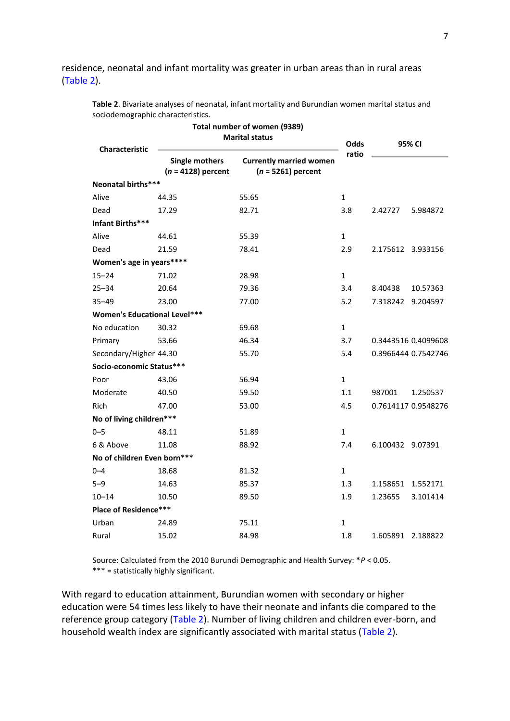residence, neonatal and infant mortality was greater in urban areas than in rural areas (Table 2).

**Table 2**. Bivariate analyses of neonatal, infant mortality and Burundian women marital status and sociodemographic characteristics.

|                                     | Total number of women (9389)<br><b>Marital status</b> |                                                        | <b>Odds</b>  | 95% CI            |                     |
|-------------------------------------|-------------------------------------------------------|--------------------------------------------------------|--------------|-------------------|---------------------|
| Characteristic                      | Single mothers<br>$(n = 4128)$ percent                | <b>Currently married women</b><br>$(n = 5261)$ percent | ratio        |                   |                     |
| Neonatal births***                  |                                                       |                                                        |              |                   |                     |
| Alive                               | 44.35                                                 | 55.65                                                  | $\mathbf{1}$ |                   |                     |
| Dead                                | 17.29                                                 | 82.71                                                  | 3.8          | 2.42727           | 5.984872            |
| Infant Births***                    |                                                       |                                                        |              |                   |                     |
| Alive                               | 44.61                                                 | 55.39                                                  | 1            |                   |                     |
| Dead                                | 21.59                                                 | 78.41                                                  | 2.9          | 2.175612 3.933156 |                     |
| Women's age in years****            |                                                       |                                                        |              |                   |                     |
| $15 - 24$                           | 71.02                                                 | 28.98                                                  | 1            |                   |                     |
| $25 - 34$                           | 20.64                                                 | 79.36                                                  | 3.4          | 8.40438           | 10.57363            |
| $35 - 49$                           | 23.00                                                 | 77.00                                                  | 5.2          | 7.318242 9.204597 |                     |
| <b>Women's Educational Level***</b> |                                                       |                                                        |              |                   |                     |
| No education                        | 30.32                                                 | 69.68                                                  | 1            |                   |                     |
| Primary                             | 53.66                                                 | 46.34                                                  | 3.7          |                   | 0.3443516 0.4099608 |
| Secondary/Higher 44.30              |                                                       | 55.70                                                  | 5.4          |                   | 0.3966444 0.7542746 |
| Socio-economic Status***            |                                                       |                                                        |              |                   |                     |
| Poor                                | 43.06                                                 | 56.94                                                  | $\mathbf{1}$ |                   |                     |
| Moderate                            | 40.50                                                 | 59.50                                                  | 1.1          | 987001            | 1.250537            |
| Rich                                | 47.00                                                 | 53.00                                                  | 4.5          |                   | 0.7614117 0.9548276 |
| No of living children***            |                                                       |                                                        |              |                   |                     |
| $0 - 5$                             | 48.11                                                 | 51.89                                                  | $\mathbf{1}$ |                   |                     |
| 6 & Above                           | 11.08                                                 | 88.92                                                  | 7.4          | 6.100432 9.07391  |                     |
| No of children Even born***         |                                                       |                                                        |              |                   |                     |
| $0 - 4$                             | 18.68                                                 | 81.32                                                  | $\mathbf{1}$ |                   |                     |
| $5 - 9$                             | 14.63                                                 | 85.37                                                  | 1.3          | 1.158651          | 1.552171            |
| $10 - 14$                           | 10.50                                                 | 89.50                                                  | 1.9          | 1.23655           | 3.101414            |
| Place of Residence***               |                                                       |                                                        |              |                   |                     |
| Urban                               | 24.89                                                 | 75.11                                                  | 1            |                   |                     |
| Rural                               | 15.02                                                 | 84.98                                                  | 1.8          | 1.605891 2.188822 |                     |

Source: Calculated from the 2010 Burundi Demographic and Health Survey: \**P* < 0.05. \*\*\* = statistically highly significant.

With regard to education attainment, Burundian women with secondary or higher education were 54 times less likely to have their neonate and infants die compared to the reference group category (Table 2). Number of living children and children ever-born, and household wealth index are significantly associated with marital status (Table 2).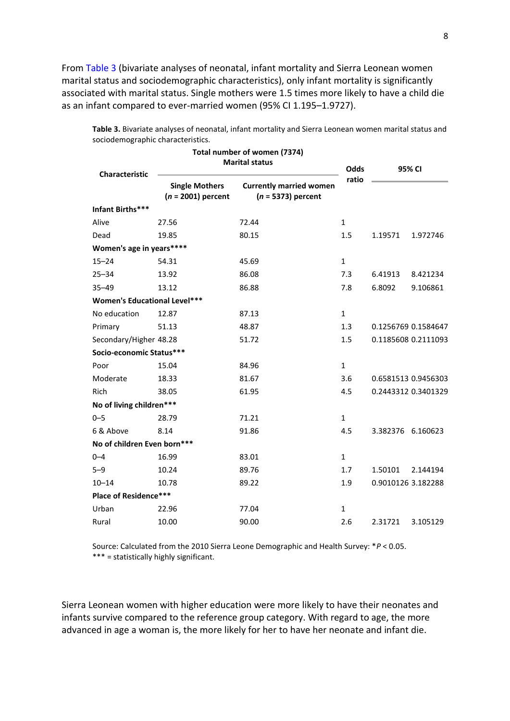From Table 3 (bivariate analyses of neonatal, infant mortality and Sierra Leonean women marital status and sociodemographic characteristics), only infant mortality is significantly associated with marital status. Single mothers were 1.5 times more likely to have a child die as an infant compared to ever-married women (95% CI 1.195–1.9727).

|                                     | Total number of women (7374)<br><b>Marital status</b> |                                                        | Odds         | 95% CI              |          |
|-------------------------------------|-------------------------------------------------------|--------------------------------------------------------|--------------|---------------------|----------|
| <b>Characteristic</b>               | <b>Single Mothers</b><br>$(n = 2001)$ percent         | <b>Currently married women</b><br>$(n = 5373)$ percent | ratio        |                     |          |
| Infant Births***                    |                                                       |                                                        |              |                     |          |
| Alive                               | 27.56                                                 | 72.44                                                  | $\mathbf{1}$ |                     |          |
| Dead                                | 19.85                                                 | 80.15                                                  | 1.5          | 1.19571             | 1.972746 |
| Women's age in years****            |                                                       |                                                        |              |                     |          |
| $15 - 24$                           | 54.31                                                 | 45.69                                                  | $\mathbf{1}$ |                     |          |
| $25 - 34$                           | 13.92                                                 | 86.08                                                  | 7.3          | 6.41913             | 8.421234 |
| $35 - 49$                           | 13.12                                                 | 86.88                                                  | 7.8          | 6.8092              | 9.106861 |
| <b>Women's Educational Level***</b> |                                                       |                                                        |              |                     |          |
| No education                        | 12.87                                                 | 87.13                                                  | $\mathbf{1}$ |                     |          |
| Primary                             | 51.13                                                 | 48.87                                                  | 1.3          | 0.1256769 0.1584647 |          |
| Secondary/Higher 48.28              |                                                       | 51.72                                                  | 1.5          | 0.1185608 0.2111093 |          |
| Socio-economic Status***            |                                                       |                                                        |              |                     |          |
| Poor                                | 15.04                                                 | 84.96                                                  | $\mathbf{1}$ |                     |          |
| Moderate                            | 18.33                                                 | 81.67                                                  | 3.6          | 0.6581513 0.9456303 |          |
| Rich                                | 38.05                                                 | 61.95                                                  | 4.5          | 0.2443312 0.3401329 |          |
| No of living children***            |                                                       |                                                        |              |                     |          |
| $0 - 5$                             | 28.79                                                 | 71.21                                                  | $\mathbf{1}$ |                     |          |
| 6 & Above                           | 8.14                                                  | 91.86                                                  | 4.5          | 3.382376 6.160623   |          |
| No of children Even born***         |                                                       |                                                        |              |                     |          |
| $0 - 4$                             | 16.99                                                 | 83.01                                                  | $\mathbf{1}$ |                     |          |
| $5 - 9$                             | 10.24                                                 | 89.76                                                  | 1.7          | 1.50101             | 2.144194 |
| $10 - 14$                           | 10.78                                                 | 89.22                                                  | 1.9          | 0.9010126 3.182288  |          |
| Place of Residence***               |                                                       |                                                        |              |                     |          |
| Urban                               | 22.96                                                 | 77.04                                                  | $\mathbf{1}$ |                     |          |
| Rural                               | 10.00                                                 | 90.00                                                  | 2.6          | 2.31721             | 3.105129 |

**Table 3.** Bivariate analyses of neonatal, infant mortality and Sierra Leonean women marital status and sociodemographic characteristics.

Source: Calculated from the 2010 Sierra Leone Demographic and Health Survey: \**P* < 0.05. \*\*\* = statistically highly significant.

Sierra Leonean women with higher education were more likely to have their neonates and infants survive compared to the reference group category. With regard to age, the more advanced in age a woman is, the more likely for her to have her neonate and infant die.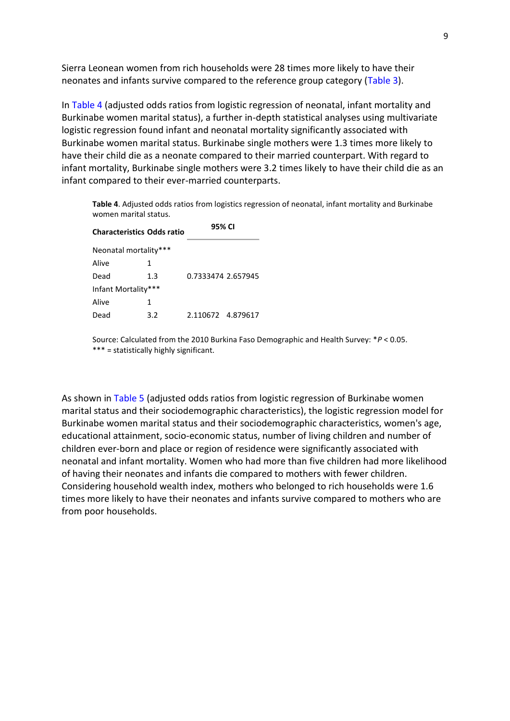Sierra Leonean women from rich households were 28 times more likely to have their neonates and infants survive compared to the reference group category (Table 3).

In Table 4 (adjusted odds ratios from logistic regression of neonatal, infant mortality and Burkinabe women marital status), a further in-depth statistical analyses using multivariate logistic regression found infant and neonatal mortality significantly associated with Burkinabe women marital status. Burkinabe single mothers were 1.3 times more likely to have their child die as a neonate compared to their married counterpart. With regard to infant mortality, Burkinabe single mothers were 3.2 times likely to have their child die as an infant compared to their ever-married counterparts.

**Table 4**. Adjusted odds ratios from logistics regression of neonatal, infant mortality and Burkinabe women marital status.

| <b>Characteristics Odds ratio</b> |     | 95% CI             |  |  |
|-----------------------------------|-----|--------------------|--|--|
| Neonatal mortality***             |     |                    |  |  |
| Alive                             | 1   |                    |  |  |
| Dead                              | 1.3 | 0.7333474 2.657945 |  |  |
| Infant Mortality***               |     |                    |  |  |
| Alive                             | 1   |                    |  |  |
| Dead                              | 3.2 | 2.110672 4.879617  |  |  |
|                                   |     |                    |  |  |

Source: Calculated from the 2010 Burkina Faso Demographic and Health Survey: \**P* < 0.05. \*\*\* = statistically highly significant.

As shown in Table 5 (adjusted odds ratios from logistic regression of Burkinabe women marital status and their sociodemographic characteristics), the logistic regression model for Burkinabe women marital status and their sociodemographic characteristics, women's age, educational attainment, socio-economic status, number of living children and number of children ever-born and place or region of residence were significantly associated with neonatal and infant mortality. Women who had more than five children had more likelihood of having their neonates and infants die compared to mothers with fewer children. Considering household wealth index, mothers who belonged to rich households were 1.6 times more likely to have their neonates and infants survive compared to mothers who are from poor households.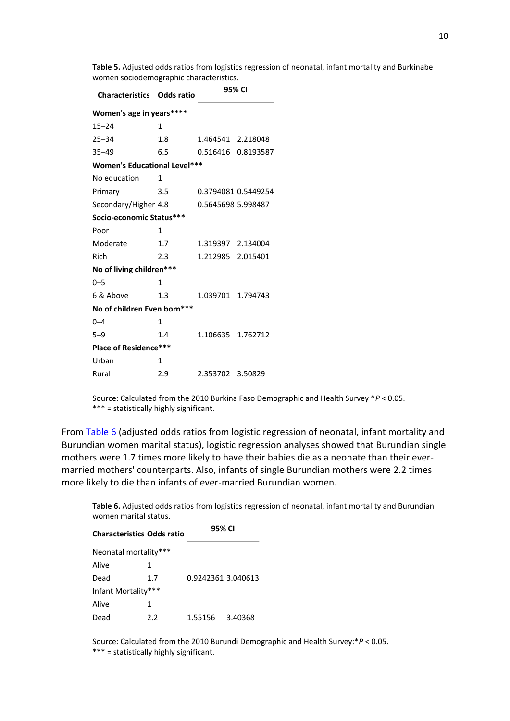**Table 5.** Adjusted odds ratios from logistics regression of neonatal, infant mortality and Burkinabe women sociodemographic characteristics.

| <b>Characteristics Odds ratio</b>   |                  | 95% CI             |                     |  |  |  |
|-------------------------------------|------------------|--------------------|---------------------|--|--|--|
| Women's age in years****            |                  |                    |                     |  |  |  |
| $15 - 24$                           | 1                |                    |                     |  |  |  |
| $25 - 34$                           | 1.8              | 1.464541 2.218048  |                     |  |  |  |
| $35 - 49$                           | 6.5              |                    | 0.516416 0.8193587  |  |  |  |
| <b>Women's Educational Level***</b> |                  |                    |                     |  |  |  |
| No education                        | 1                |                    |                     |  |  |  |
| Primary                             | 3.5              |                    | 0.3794081 0.5449254 |  |  |  |
| Secondary/Higher 4.8                |                  | 0.5645698 5.998487 |                     |  |  |  |
| Socio-economic Status***            |                  |                    |                     |  |  |  |
| Poor                                | 1                |                    |                     |  |  |  |
| Moderate                            | 1.7              | 1.319397 2.134004  |                     |  |  |  |
| Rich                                | $2.3\phantom{0}$ | 1.212985 2.015401  |                     |  |  |  |
| No of living children***            |                  |                    |                     |  |  |  |
| $0 - 5$                             | 1                |                    |                     |  |  |  |
| 6 & Above                           | $1.3\,$          | 1.039701 1.794743  |                     |  |  |  |
| No of children Even born***         |                  |                    |                     |  |  |  |
| $0 - 4$                             | 1                |                    |                     |  |  |  |
| $5 - 9$                             | 1.4              | 1.106635 1.762712  |                     |  |  |  |
| Place of Residence***               |                  |                    |                     |  |  |  |
| Urban                               | 1                |                    |                     |  |  |  |
| Rural                               | 2.9              | 2.353702 3.50829   |                     |  |  |  |

Source: Calculated from the 2010 Burkina Faso Demographic and Health Survey \**P* < 0.05. \*\*\* = statistically highly significant.

From Table 6 (adjusted odds ratios from logistic regression of neonatal, infant mortality and Burundian women marital status), logistic regression analyses showed that Burundian single mothers were 1.7 times more likely to have their babies die as a neonate than their evermarried mothers' counterparts. Also, infants of single Burundian mothers were 2.2 times more likely to die than infants of ever-married Burundian women.

**Table 6.** Adjusted odds ratios from logistics regression of neonatal, infant mortality and Burundian women marital status.

| <b>Characteristics Odds ratio</b> |                    |         |
|-----------------------------------|--------------------|---------|
| Neonatal mortality***             |                    |         |
|                                   |                    |         |
| 1.7                               | 0.9242361 3.040613 |         |
| Infant Mortality***               |                    |         |
|                                   |                    |         |
| 22                                | 1.55156            | 3.40368 |
|                                   |                    | 95% CI  |

Source: Calculated from the 2010 Burundi Demographic and Health Survey:\**P* < 0.05. \*\*\* = statistically highly significant.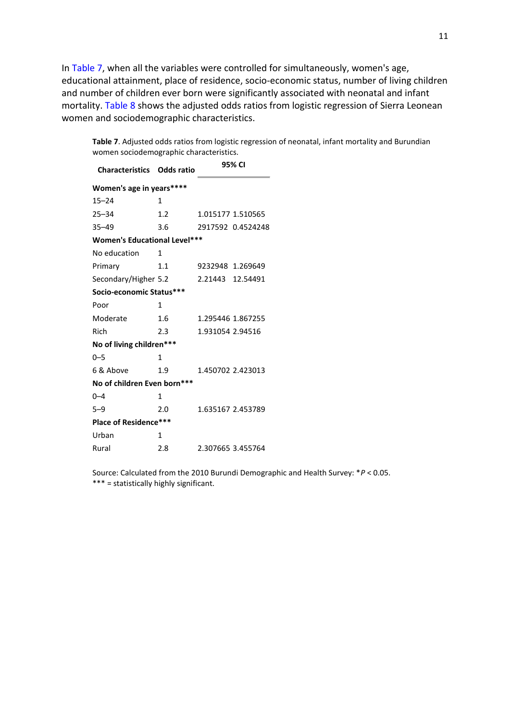In Table 7, when all the variables were controlled for simultaneously, women's age, educational attainment, place of residence, socio-economic status, number of living children and number of children ever born were significantly associated with neonatal and infant mortality. Table 8 shows the adjusted odds ratios from logistic regression of Sierra Leonean women and sociodemographic characteristics.

**Table 7**. Adjusted odds ratios from logistic regression of neonatal, infant mortality and Burundian women sociodemographic characteristics.

| <b>Characteristics Odds ratio</b>   |     | 95% CI           |                   |  |  |  |
|-------------------------------------|-----|------------------|-------------------|--|--|--|
| Women's age in years****            |     |                  |                   |  |  |  |
| $15 - 24$                           | 1   |                  |                   |  |  |  |
| $25 - 34$                           | 1.2 |                  | 1.015177 1.510565 |  |  |  |
| $35 - 49$                           | 3.6 |                  | 2917592 0.4524248 |  |  |  |
| <b>Women's Educational Level***</b> |     |                  |                   |  |  |  |
| No education                        | 1   |                  |                   |  |  |  |
| Primary                             | 1.1 | 9232948 1.269649 |                   |  |  |  |
| Secondary/Higher 5.2                |     | 2.21443 12.54491 |                   |  |  |  |
| Socio-economic Status***            |     |                  |                   |  |  |  |
| Poor                                | 1   |                  |                   |  |  |  |
| Moderate                            | 1.6 |                  | 1.295446 1.867255 |  |  |  |
| Rich                                | 2.3 | 1.931054 2.94516 |                   |  |  |  |
| No of living children***            |     |                  |                   |  |  |  |
| $0 - 5$                             | 1   |                  |                   |  |  |  |
| 6 & Above                           | 1.9 |                  | 1.450702 2.423013 |  |  |  |
| No of children Even born***         |     |                  |                   |  |  |  |
| $0 - 4$                             | 1   |                  |                   |  |  |  |
| $5 - 9$                             | 2.0 |                  | 1.635167 2.453789 |  |  |  |
| Place of Residence***               |     |                  |                   |  |  |  |
| Urban                               | 1   |                  |                   |  |  |  |
| Rural                               | 2.8 |                  | 2.307665 3.455764 |  |  |  |

Source: Calculated from the 2010 Burundi Demographic and Health Survey: \**P* < 0.05. \*\*\* = statistically highly significant.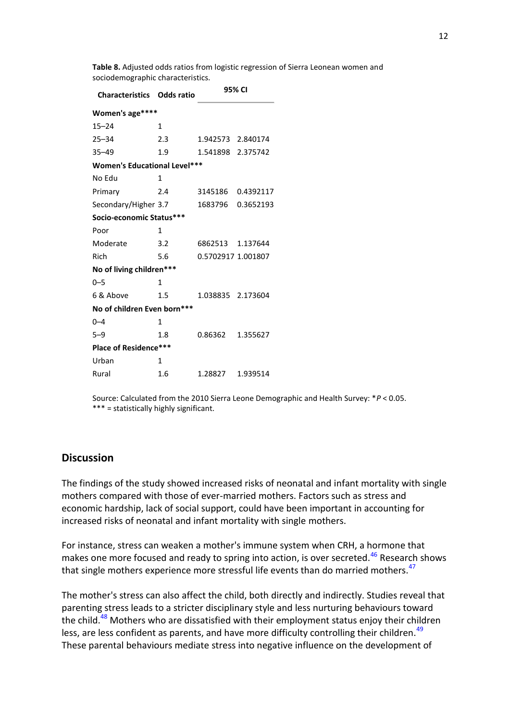**Table 8.** Adjusted odds ratios from logistic regression of Sierra Leonean women and sociodemographic characteristics.

| <b>Characteristics Odds ratio</b>   |     | 95% CI             |           |  |  |  |
|-------------------------------------|-----|--------------------|-----------|--|--|--|
| Women's age****                     |     |                    |           |  |  |  |
| $15 - 24$                           | 1   |                    |           |  |  |  |
| $25 - 34$                           | 2.3 | 1.942573 2.840174  |           |  |  |  |
| $35 - 49$                           | 1.9 | 1.541898 2.375742  |           |  |  |  |
| <b>Women's Educational Level***</b> |     |                    |           |  |  |  |
| No Edu                              | 1   |                    |           |  |  |  |
| Primary                             | 2.4 | 3145186            | 0.4392117 |  |  |  |
| Secondary/Higher 3.7                |     | 1683796            | 0.3652193 |  |  |  |
| Socio-economic Status***            |     |                    |           |  |  |  |
| Poor                                | 1   |                    |           |  |  |  |
| Moderate                            | 3.2 | 6862513            | 1.137644  |  |  |  |
| Rich                                | 5.6 | 0.5702917 1.001807 |           |  |  |  |
| No of living children***            |     |                    |           |  |  |  |
| $0 - 5$                             | 1   |                    |           |  |  |  |
| 6 & Above                           | 1.5 | 1.038835 2.173604  |           |  |  |  |
| No of children Even born***         |     |                    |           |  |  |  |
| $0 - 4$                             | 1   |                    |           |  |  |  |
| $5 - 9$                             | 1.8 | 0.86362            | 1.355627  |  |  |  |
| Place of Residence***               |     |                    |           |  |  |  |
| Urban                               | 1   |                    |           |  |  |  |
| Rural                               | 1.6 | 1.28827            | 1.939514  |  |  |  |

Source: Calculated from the 2010 Sierra Leone Demographic and Health Survey: \**P* < 0.05. \*\*\* = statistically highly significant.

### **Discussion**

The findings of the study showed increased risks of neonatal and infant mortality with single mothers compared with those of ever-married mothers. Factors such as stress and economic hardship, lack of social support, could have been important in accounting for increased risks of neonatal and infant mortality with single mothers.

For instance, stress can weaken a mother's immune system when CRH, a hormone that makes one more focused and ready to spring into action, is over secreted.<sup>46</sup> Research shows that single mothers experience more stressful life events than do married mothers.<sup>47</sup>

The mother's stress can also affect the child, both directly and indirectly. Studies reveal that parenting stress leads to a stricter disciplinary style and less nurturing behaviours toward the child.<sup>48</sup> Mothers who are dissatisfied with their employment status enjoy their children less, are less confident as parents, and have more difficulty controlling their children.<sup>49</sup> These parental behaviours mediate stress into negative influence on the development of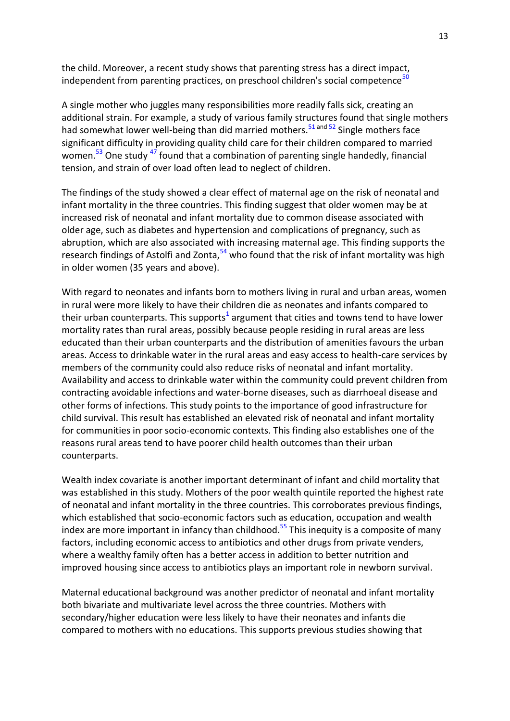the child. Moreover, a recent study shows that parenting stress has a direct impact, independent from parenting practices, on preschool children's social competence $50$ 

A single mother who juggles many responsibilities more readily falls sick, creating an additional strain. For example, a study of various family structures found that single mothers had somewhat lower well-being than did married mothers.<sup>51 and 52</sup> Single mothers face significant difficulty in providing quality child care for their children compared to married women. $53$  One study  $47$  found that a combination of parenting single handedly, financial tension, and strain of over load often lead to neglect of children.

The findings of the study showed a clear effect of maternal age on the risk of neonatal and infant mortality in the three countries. This finding suggest that older women may be at increased risk of neonatal and infant mortality due to common disease associated with older age, such as diabetes and hypertension and complications of pregnancy, such as abruption, which are also associated with increasing maternal age. This finding supports the research findings of Astolfi and Zonta, $54$  who found that the risk of infant mortality was high in older women (35 years and above).

With regard to neonates and infants born to mothers living in rural and urban areas, women in rural were more likely to have their children die as neonates and infants compared to their urban counterparts. This supports<sup>1</sup> argument that cities and towns tend to have lower mortality rates than rural areas, possibly because people residing in rural areas are less educated than their urban counterparts and the distribution of amenities favours the urban areas. Access to drinkable water in the rural areas and easy access to health-care services by members of the community could also reduce risks of neonatal and infant mortality. Availability and access to drinkable water within the community could prevent children from contracting avoidable infections and water-borne diseases, such as diarrhoeal disease and other forms of infections. This study points to the importance of good infrastructure for child survival. This result has established an elevated risk of neonatal and infant mortality for communities in poor socio-economic contexts. This finding also establishes one of the reasons rural areas tend to have poorer child health outcomes than their urban counterparts.

Wealth index covariate is another important determinant of infant and child mortality that was established in this study. Mothers of the poor wealth quintile reported the highest rate of neonatal and infant mortality in the three countries. This corroborates previous findings, which established that socio-economic factors such as education, occupation and wealth index are more important in infancy than childhood.<sup>55</sup> This inequity is a composite of many factors, including economic access to antibiotics and other drugs from private venders, where a wealthy family often has a better access in addition to better nutrition and improved housing since access to antibiotics plays an important role in newborn survival.

Maternal educational background was another predictor of neonatal and infant mortality both bivariate and multivariate level across the three countries. Mothers with secondary/higher education were less likely to have their neonates and infants die compared to mothers with no educations. This supports previous studies showing that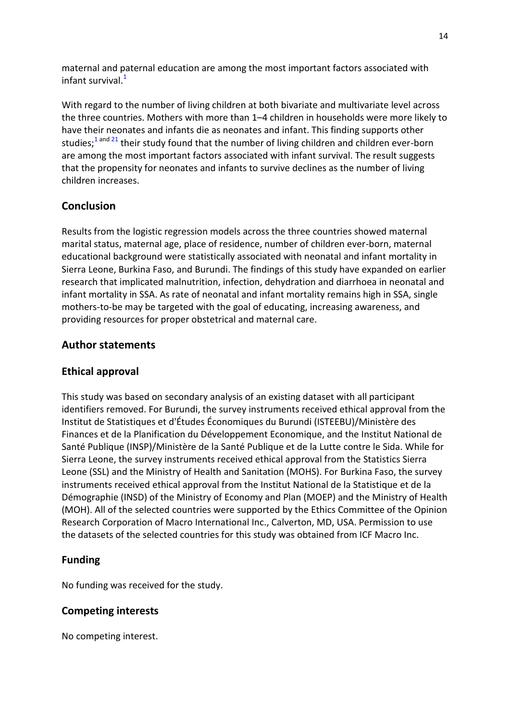maternal and paternal education are among the most important factors associated with infant survival. $<sup>1</sup>$ </sup>

With regard to the number of living children at both bivariate and multivariate level across the three countries. Mothers with more than 1–4 children in households were more likely to have their neonates and infants die as neonates and infant. This finding supports other studies;<sup>1 and 21</sup> their study found that the number of living children and children ever-born are among the most important factors associated with infant survival. The result suggests that the propensity for neonates and infants to survive declines as the number of living children increases.

# **Conclusion**

Results from the logistic regression models across the three countries showed maternal marital status, maternal age, place of residence, number of children ever-born, maternal educational background were statistically associated with neonatal and infant mortality in Sierra Leone, Burkina Faso, and Burundi. The findings of this study have expanded on earlier research that implicated malnutrition, infection, dehydration and diarrhoea in neonatal and infant mortality in SSA. As rate of neonatal and infant mortality remains high in SSA, single mothers-to-be may be targeted with the goal of educating, increasing awareness, and providing resources for proper obstetrical and maternal care.

# **Author statements**

# **Ethical approval**

This study was based on secondary analysis of an existing dataset with all participant identifiers removed. For Burundi, the survey instruments received ethical approval from the Institut de Statistiques et d'Études Économiques du Burundi (ISTEEBU)/Ministère des Finances et de la Planification du Développement Economique, and the Institut National de Santé Publique (INSP)/Ministère de la Santé Publique et de la Lutte contre le Sida. While for Sierra Leone, the survey instruments received ethical approval from the Statistics Sierra Leone (SSL) and the Ministry of Health and Sanitation (MOHS). For Burkina Faso, the survey instruments received ethical approval from the Institut National de la Statistique et de la Démographie (INSD) of the Ministry of Economy and Plan (MOEP) and the Ministry of Health (MOH). All of the selected countries were supported by the Ethics Committee of the Opinion Research Corporation of Macro International Inc., Calverton, MD, USA. Permission to use the datasets of the selected countries for this study was obtained from ICF Macro Inc.

# **Funding**

No funding was received for the study.

### **Competing interests**

No competing interest.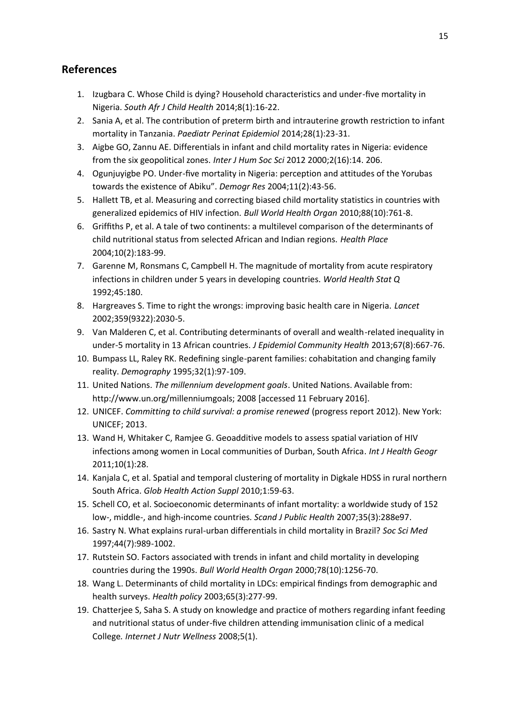## **References**

- 1. Izugbara C. Whose Child is dying? Household characteristics and under-five mortality in Nigeria. *South Afr J Child Health* 2014;8(1):16-22.
- 2. Sania A, et al. The contribution of preterm birth and intrauterine growth restriction to infant mortality in Tanzania. *Paediatr Perinat Epidemiol* 2014;28(1):23-31.
- 3. Aigbe GO, Zannu AE. Differentials in infant and child mortality rates in Nigeria: evidence from the six geopolitical zones. *Inter J Hum Soc Sci* 2012 2000;2(16):14. 206.
- 4. Ogunjuyigbe PO. Under-five mortality in Nigeria: perception and attitudes of the Yorubas towards the existence of Abiku". *Demogr Res* 2004;11(2):43-56.
- 5. Hallett TB, et al. Measuring and correcting biased child mortality statistics in countries with generalized epidemics of HIV infection. *Bull World Health Organ* 2010;88(10):761-8.
- 6. Griffiths P, et al. A tale of two continents: a multilevel comparison of the determinants of child nutritional status from selected African and Indian regions. *Health Place* 2004;10(2):183-99.
- 7. Garenne M, Ronsmans C, Campbell H. The magnitude of mortality from acute respiratory infections in children under 5 years in developing countries. *World Health Stat Q* 1992;45:180.
- 8. Hargreaves S. Time to right the wrongs: improving basic health care in Nigeria. *Lancet* 2002;359(9322):2030-5.
- 9. Van Malderen C, et al. Contributing determinants of overall and wealth-related inequality in under-5 mortality in 13 African countries. *J Epidemiol Community Health* 2013;67(8):667-76.
- 10. Bumpass LL, Raley RK. Redefining single-parent families: cohabitation and changing family reality. *Demography* 1995;32(1):97-109.
- 11. United Nations. *The millennium development goals*. United Nations. Available from: http://www.un.org/millenniumgoals; 2008 [accessed 11 February 2016].
- 12. UNICEF. *Committing to child survival: a promise renewed* (progress report 2012). New York: UNICEF; 2013.
- 13. Wand H, Whitaker C, Ramjee G. Geoadditive models to assess spatial variation of HIV infections among women in Local communities of Durban, South Africa*. Int J Health Geogr* 2011;10(1):28.
- 14. Kanjala C, et al. Spatial and temporal clustering of mortality in Digkale HDSS in rural northern South Africa. *Glob Health Action Suppl* 2010;1:59-63.
- 15. Schell CO, et al. Socioeconomic determinants of infant mortality: a worldwide study of 152 low-, middle-, and high-income countries*. Scand J Public Health* 2007;35(3):288e97.
- 16. Sastry N. What explains rural-urban differentials in child mortality in Brazil? *Soc Sci Med* 1997;44(7):989-1002.
- 17. Rutstein SO. Factors associated with trends in infant and child mortality in developing countries during the 1990s. *Bull World Health Organ* 2000;78(10):1256-70.
- 18. Wang L. Determinants of child mortality in LDCs: empirical findings from demographic and health surveys. *Health policy* 2003;65(3):277-99.
- 19. Chatterjee S, Saha S. A study on knowledge and practice of mothers regarding infant feeding and nutritional status of under-five children attending immunisation clinic of a medical College*. Internet J Nutr Wellness* 2008;5(1).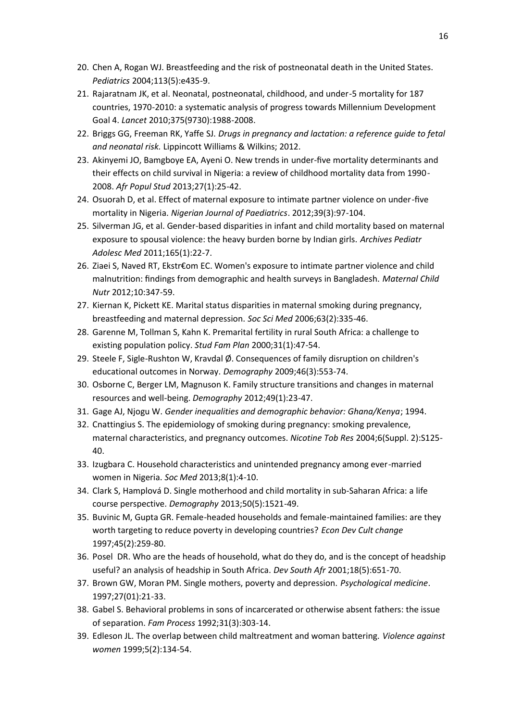- 20. Chen A, Rogan WJ. Breastfeeding and the risk of postneonatal death in the United States. *Pediatrics* 2004;113(5):e435-9.
- 21. Rajaratnam JK, et al. Neonatal, postneonatal, childhood, and under-5 mortality for 187 countries, 1970-2010: a systematic analysis of progress towards Millennium Development Goal 4. *Lancet* 2010;375(9730):1988-2008.
- 22. Briggs GG, Freeman RK, Yaffe SJ. *Drugs in pregnancy and lactation: a reference guide to fetal and neonatal risk.* Lippincott Williams & Wilkins; 2012.
- 23. Akinyemi JO, Bamgboye EA, Ayeni O. New trends in under-five mortality determinants and their effects on child survival in Nigeria: a review of childhood mortality data from 1990- 2008. *Afr Popul Stud* 2013;27(1):25-42.
- 24. Osuorah D, et al. Effect of maternal exposure to intimate partner violence on under-five mortality in Nigeria. *Nigerian Journal of Paediatrics*. 2012;39(3):97-104.
- 25. Silverman JG, et al. Gender-based disparities in infant and child mortality based on maternal exposure to spousal violence: the heavy burden borne by Indian girls. *Archives Pediatr Adolesc Med* 2011;165(1):22-7.
- 26. Ziaei S, Naved RT, Ekstr€om EC. Women's exposure to intimate partner violence and child malnutrition: findings from demographic and health surveys in Bangladesh. *Maternal Child Nutr* 2012;10:347-59.
- 27. Kiernan K, Pickett KE. Marital status disparities in maternal smoking during pregnancy, breastfeeding and maternal depression. *Soc Sci Med* 2006;63(2):335-46.
- 28. Garenne M, Tollman S, Kahn K. Premarital fertility in rural South Africa: a challenge to existing population policy. *Stud Fam Plan* 2000;31(1):47-54.
- 29. Steele F, Sigle-Rushton W, Kravdal Ø. Consequences of family disruption on children's educational outcomes in Norway. *Demography* 2009;46(3):553-74.
- 30. Osborne C, Berger LM, Magnuson K. Family structure transitions and changes in maternal resources and well-being. *Demography* 2012;49(1):23-47.
- 31. Gage AJ, Njogu W. *Gender inequalities and demographic behavior: Ghana/Kenya*; 1994.
- 32. Cnattingius S. The epidemiology of smoking during pregnancy: smoking prevalence, maternal characteristics, and pregnancy outcomes. *Nicotine Tob Res* 2004;6(Suppl. 2):S125- 40.
- 33. Izugbara C. Household characteristics and unintended pregnancy among ever-married women in Nigeria. *Soc Med* 2013;8(1):4-10.
- 34. Clark S, Hamplová D. Single motherhood and child mortality in sub-Saharan Africa: a life course perspective. *Demography* 2013;50(5):1521-49.
- 35. Buvinic M, Gupta GR. Female-headed households and female-maintained families: are they worth targeting to reduce poverty in developing countries? *Econ Dev Cult change* 1997;45(2):259-80.
- 36. Posel DR. Who are the heads of household, what do they do, and is the concept of headship useful? an analysis of headship in South Africa. *Dev South Afr* 2001;18(5):651-70.
- 37. Brown GW, Moran PM. Single mothers, poverty and depression. *Psychological medicine*. 1997;27(01):21-33.
- 38. Gabel S. Behavioral problems in sons of incarcerated or otherwise absent fathers: the issue of separation. *Fam Process* 1992;31(3):303-14.
- 39. Edleson JL. The overlap between child maltreatment and woman battering. *Violence against women* 1999;5(2):134-54.